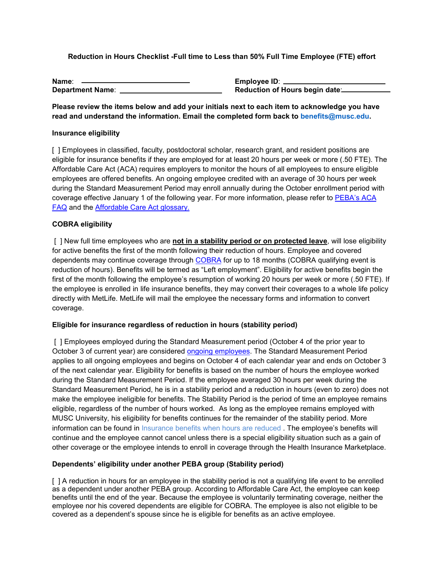**Reduction in Hours Checklist -Full time to Less than 50% Full Time Employee (FTE) effort**

| Name:                   |  |
|-------------------------|--|
| <b>Department Name:</b> |  |

**Employee ID:**  $\blacksquare$ **Reduction of Hours begin date:** 

**Please review the items below and add your initials next to each item to acknowledge you have read and understand the information. Email the completed form back to benefits@musc.edu.**

### **Insurance eligibility**

[ ] Employees in classified, faculty, postdoctoral scholar, research grant, and resident positions are eligible for insurance benefits if they are employed for at least 20 hours per week or more (.50 FTE). The Affordable Care Act (ACA) requires employers to monitor the hours of all employees to ensure eligible employees are offered benefits. An ongoing employee credited with an average of 30 hours per week during the Standard Measurement Period may enroll annually during the October enrollment period with coverage effective January 1 of the following year. For more information, please refer to [PEBA's ACA](https://peba.sc.gov/sites/default/files/aca_faq.pdf)  [FAQ](https://peba.sc.gov/sites/default/files/aca_faq.pdf) and the [Affordable Care Act glossary.](https://www.peba.sc.gov/sites/default/files/aca_glossary.pdf)

## **COBRA eligibility**

[ ] New full time employees who are **not in a stability period or on protected leave**, will lose eligibility for active benefits the first of the month following their reduction of hours. Employee and covered dependents may continue coverage through [COBRA](https://web.musc.edu/human-resources/university-hr/benefits/cobra-and-leaving-employment) for up to 18 months (COBRA qualifying event is reduction of hours). Benefits will be termed as "Left employment". Eligibility for active benefits begin the first of the month following the employee's resumption of working 20 hours per week or more (.50 FTE). If the employee is enrolled in life insurance benefits, they may convert their coverages to a whole life policy directly with MetLife. MetLife will mail the employee the necessary forms and information to convert coverage.

## **Eligible for insurance regardless of reduction in hours (stability period)**

[ ] Employees employed during the Standard Measurement period (October 4 of the prior year to October 3 of current year) are considered [ongoing employees.](https://www.peba.sc.gov/sites/default/files/aca_glossary.pdf) The Standard Measurement Period applies to all ongoing employees and begins on October 4 of each calendar year and ends on October 3 of the next calendar year. Eligibility for benefits is based on the number of hours the employee worked during the Standard Measurement Period. If the employee averaged 30 hours per week during the Standard Measurement Period, he is in a stability period and a reduction in hours (even to zero) does not make the employee ineligible for benefits. The Stability Period is the period of time an employee remains eligible, regardless of the number of hours worked. As long as the employee remains employed with MUSC University, his eligibility for benefits continues for the remainder of the stability period. More information can be found in [Insurance benefits when hours are reduced](https://www.peba.sc.gov/sites/default/files/insurance_benefits_hours_reduced.pdf) . The employee's benefits will continue and the employee cannot cancel unless there is a special eligibility situation such as a gain of other coverage or the employee intends to enroll in coverage through the Health Insurance Marketplace.

## **Dependents' eligibility under another PEBA group (Stability period)**

[ ] A reduction in hours for an employee in the stability period is not a qualifying life event to be enrolled as a dependent under another PEBA group. According to Affordable Care Act, the employee can keep benefits until the end of the year. Because the employee is voluntarily terminating coverage, neither the employee nor his covered dependents are eligible for COBRA. The employee is also not eligible to be covered as a dependent's spouse since he is eligible for benefits as an active employee.